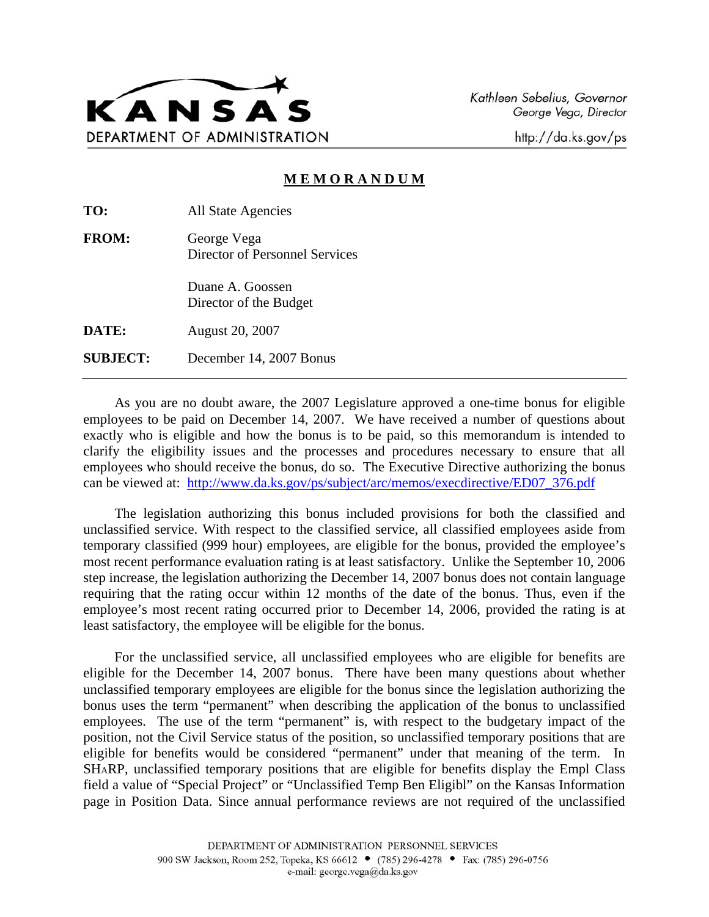

Kathleen Sebelius, Governor George Vega, Director

http://da.ks.gov/ps

## **M E M O R A N D U M**

**TO:** All State Agencies

**FROM:** George Vega Director of Personnel Services

> Duane A. Goossen Director of the Budget

**DATE:** August 20, 2007

**SUBJECT:** December 14, 2007 Bonus

As you are no doubt aware, the 2007 Legislature approved a one-time bonus for eligible employees to be paid on December 14, 2007. We have received a number of questions about exactly who is eligible and how the bonus is to be paid, so this memorandum is intended to clarify the eligibility issues and the processes and procedures necessary to ensure that all employees who should receive the bonus, do so. The Executive Directive authorizing the bonus can be viewed at: http://www.da.ks.gov/ps/subject/arc/memos/execdirective/ED07\_376.pdf

The legislation authorizing this bonus included provisions for both the classified and unclassified service. With respect to the classified service, all classified employees aside from temporary classified (999 hour) employees, are eligible for the bonus, provided the employee's most recent performance evaluation rating is at least satisfactory. Unlike the September 10, 2006 step increase, the legislation authorizing the December 14, 2007 bonus does not contain language requiring that the rating occur within 12 months of the date of the bonus. Thus, even if the employee's most recent rating occurred prior to December 14, 2006, provided the rating is at least satisfactory, the employee will be eligible for the bonus.

For the unclassified service, all unclassified employees who are eligible for benefits are eligible for the December 14, 2007 bonus. There have been many questions about whether unclassified temporary employees are eligible for the bonus since the legislation authorizing the bonus uses the term "permanent" when describing the application of the bonus to unclassified employees. The use of the term "permanent" is, with respect to the budgetary impact of the position, not the Civil Service status of the position, so unclassified temporary positions that are eligible for benefits would be considered "permanent" under that meaning of the term. In SHARP, unclassified temporary positions that are eligible for benefits display the Empl Class field a value of "Special Project" or "Unclassified Temp Ben Eligibl" on the Kansas Information page in Position Data. Since annual performance reviews are not required of the unclassified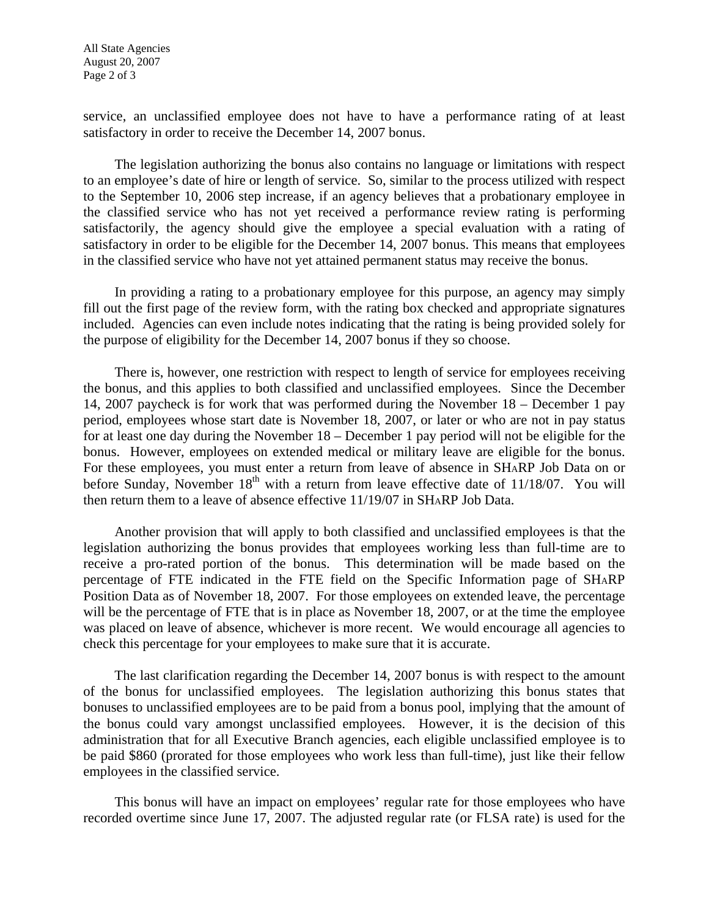service, an unclassified employee does not have to have a performance rating of at least satisfactory in order to receive the December 14, 2007 bonus.

The legislation authorizing the bonus also contains no language or limitations with respect to an employee's date of hire or length of service. So, similar to the process utilized with respect to the September 10, 2006 step increase, if an agency believes that a probationary employee in the classified service who has not yet received a performance review rating is performing satisfactorily, the agency should give the employee a special evaluation with a rating of satisfactory in order to be eligible for the December 14, 2007 bonus. This means that employees in the classified service who have not yet attained permanent status may receive the bonus.

In providing a rating to a probationary employee for this purpose, an agency may simply fill out the first page of the review form, with the rating box checked and appropriate signatures included. Agencies can even include notes indicating that the rating is being provided solely for the purpose of eligibility for the December 14, 2007 bonus if they so choose.

There is, however, one restriction with respect to length of service for employees receiving the bonus, and this applies to both classified and unclassified employees. Since the December 14, 2007 paycheck is for work that was performed during the November 18 – December 1 pay period, employees whose start date is November 18, 2007, or later or who are not in pay status for at least one day during the November 18 – December 1 pay period will not be eligible for the bonus. However, employees on extended medical or military leave are eligible for the bonus. For these employees, you must enter a return from leave of absence in SHARP Job Data on or before Sunday, November  $18<sup>th</sup>$  with a return from leave effective date of 11/18/07. You will then return them to a leave of absence effective 11/19/07 in SHARP Job Data.

Another provision that will apply to both classified and unclassified employees is that the legislation authorizing the bonus provides that employees working less than full-time are to receive a pro-rated portion of the bonus. This determination will be made based on the percentage of FTE indicated in the FTE field on the Specific Information page of SHARP Position Data as of November 18, 2007. For those employees on extended leave, the percentage will be the percentage of FTE that is in place as November 18, 2007, or at the time the employee was placed on leave of absence, whichever is more recent. We would encourage all agencies to check this percentage for your employees to make sure that it is accurate.

The last clarification regarding the December 14, 2007 bonus is with respect to the amount of the bonus for unclassified employees. The legislation authorizing this bonus states that bonuses to unclassified employees are to be paid from a bonus pool, implying that the amount of the bonus could vary amongst unclassified employees. However, it is the decision of this administration that for all Executive Branch agencies, each eligible unclassified employee is to be paid \$860 (prorated for those employees who work less than full-time), just like their fellow employees in the classified service.

This bonus will have an impact on employees' regular rate for those employees who have recorded overtime since June 17, 2007. The adjusted regular rate (or FLSA rate) is used for the